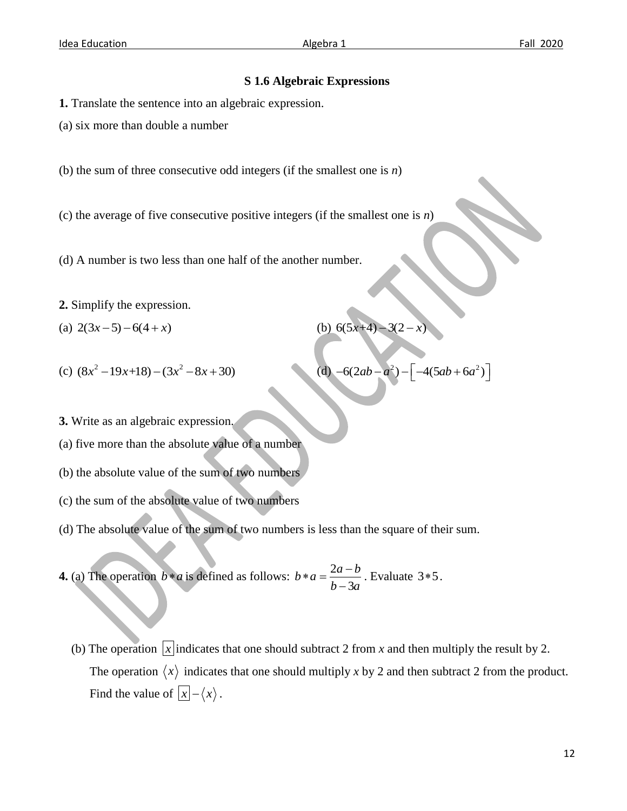(b)  $6(5x+4)-3(2-x)$ 

 $-6(2ab-a^2) - \left[ -4(5ab+6a^2) \right]$ 

(d)

## **S 1.6 Algebraic Expressions**

**1.** Translate the sentence into an algebraic expression.

(a) six more than double a number

(b) the sum of three consecutive odd integers (if the smallest one is *n*)

(c) the average of five consecutive positive integers (if the smallest one is *n*)

(d) A number is two less than one half of the another number.

**2.** Simplify the expression.

(a)  $2(3x-5)-6(4+x)$ 

(c)  $(8x^2 - 19x + 18) - (3x^2 - 8x + 30)$ 

**3.** Write as an algebraic expression.

(a) five more than the absolute value of a number

(b) the absolute value of the sum of two numbers

- (c) the sum of the absolute value of two numbers
- (d) The absolute value of the sum of two numbers is less than the square of their sum.

**4.** (a) The operation  $b * a$  is defined as follows:  $b * a = \frac{2}{b}$ 3  $b * a = \frac{2a-b}{1-a}$  $b-3a$  $*a = \frac{2a-}{1}$ -. Evaluate  $3*5$ .

(b) The operation  $|x|$  indicates that one should subtract 2 from *x* and then multiply the result by 2. The operation  $\langle x \rangle$  indicates that one should multiply x by 2 and then subtract 2 from the product. Find the value of  $|x| - \langle x \rangle$ .